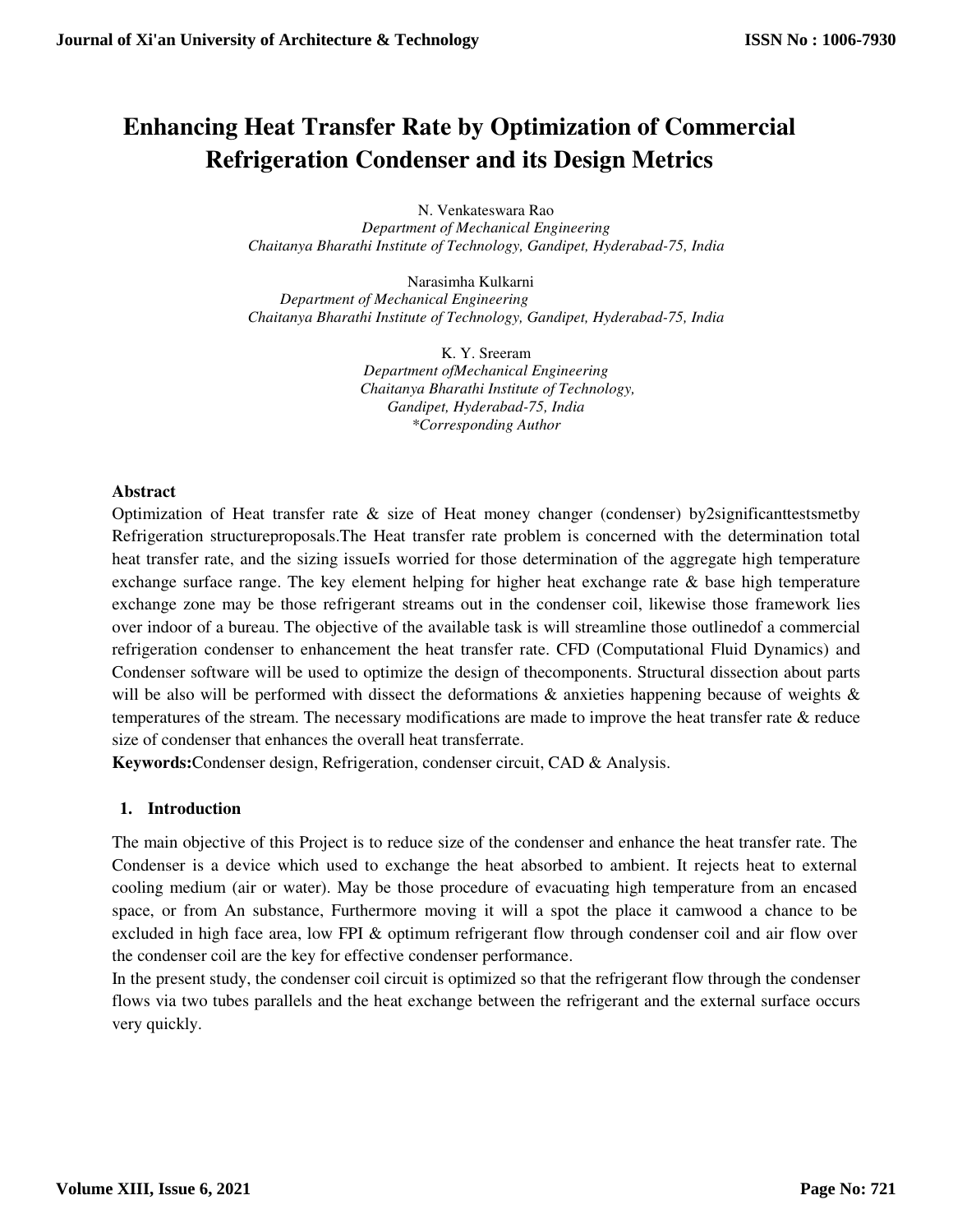# **Enhancing Heat Transfer Rate by Optimization of Commercial Refrigeration Condenser and its Design Metrics**

N. Venkateswara Rao *Department of Mechanical Engineering Chaitanya Bharathi Institute of Technology, Gandipet, Hyderabad-75, India* 

Narasimha Kulkarni *Department of Mechanical Engineering Chaitanya Bharathi Institute of Technology, Gandipet, Hyderabad-75, India* 

> K. Y. Sreeram *Department ofMechanical Engineering Chaitanya Bharathi Institute of Technology, Gandipet, Hyderabad-75, India \*Corresponding Author*

#### **Abstract**

Optimization of Heat transfer rate & size of Heat money changer (condenser) by2significanttestsmetby Refrigeration structureproposals.The Heat transfer rate problem is concerned with the determination total heat transfer rate, and the sizing issueIs worried for those determination of the aggregate high temperature exchange surface range. The key element helping for higher heat exchange rate & base high temperature exchange zone may be those refrigerant streams out in the condenser coil, likewise those framework lies over indoor of a bureau. The objective of the available task is will streamline those outlinedof a commercial refrigeration condenser to enhancement the heat transfer rate. CFD (Computational Fluid Dynamics) and Condenser software will be used to optimize the design of thecomponents. Structural dissection about parts will be also will be performed with dissect the deformations  $\&$  anxieties happening because of weights  $\&$ temperatures of the stream. The necessary modifications are made to improve the heat transfer rate & reduce size of condenser that enhances the overall heat transferrate.

**Keywords:**Condenser design, Refrigeration, condenser circuit, CAD & Analysis.

#### **1. Introduction**

The main objective of this Project is to reduce size of the condenser and enhance the heat transfer rate. The Condenser is a device which used to exchange the heat absorbed to ambient. It rejects heat to external cooling medium (air or water). May be those procedure of evacuating high temperature from an encased space, or from An substance, Furthermore moving it will a spot the place it camwood a chance to be excluded in high face area, low FPI & optimum refrigerant flow through condenser coil and air flow over the condenser coil are the key for effective condenser performance.

In the present study, the condenser coil circuit is optimized so that the refrigerant flow through the condenser flows via two tubes parallels and the heat exchange between the refrigerant and the external surface occurs very quickly.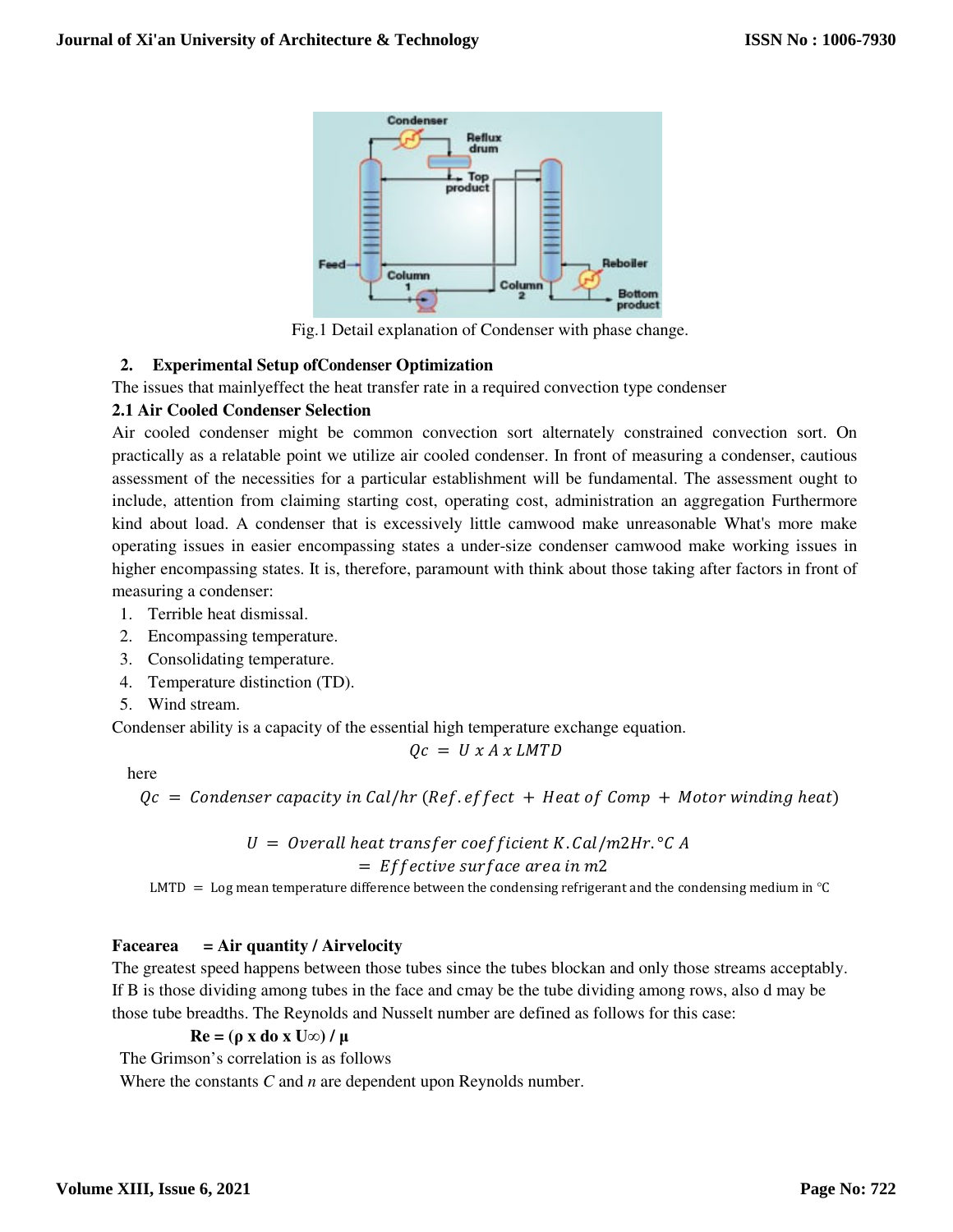

Fig.1 Detail explanation of Condenser with phase change.

#### **2. Experimental Setup ofCondenser Optimization**

The issues that mainlyeffect the heat transfer rate in a required convection type condenser

# **2.1 Air Cooled Condenser Selection**

Air cooled condenser might be common convection sort alternately constrained convection sort. On practically as a relatable point we utilize air cooled condenser. In front of measuring a condenser, cautious assessment of the necessities for a particular establishment will be fundamental. The assessment ought to include, attention from claiming starting cost, operating cost, administration an aggregation Furthermore kind about load. A condenser that is excessively little camwood make unreasonable What's more make operating issues in easier encompassing states a under-size condenser camwood make working issues in higher encompassing states. It is, therefore, paramount with think about those taking after factors in front of measuring a condenser:

- 1. Terrible heat dismissal.
- 2. Encompassing temperature.
- 3. Consolidating temperature.
- 4. Temperature distinction (TD).
- 5. Wind stream.

Condenser ability is a capacity of the essential high temperature exchange equation.

$$
Qc = U x A x L M T D
$$

here

```
Qc = Condenser capacity in Cal/hr (Ref.effect + Heat of Comp + Motor winding heat)
```
# $U =$  Overall heat transfer coefficient K.Cal/m2Hr.°C A

#### $=$  Effective surface area in m2

LMTD = Log mean temperature difference between the condensing refrigerant and the condensing medium in  $\degree$ C

#### **Facearea = Air quantity / Airvelocity**

The greatest speed happens between those tubes since the tubes blockan and only those streams acceptably. If B is those dividing among tubes in the face and cmay be the tube dividing among rows, also d may be those tube breadths. The Reynolds and Nusselt number are defined as follows for this case:

#### $Re = (\rho \times do \times U\infty) / \mu$

The Grimson's correlation is as follows

Where the constants *C* and *n* are dependent upon Reynolds number.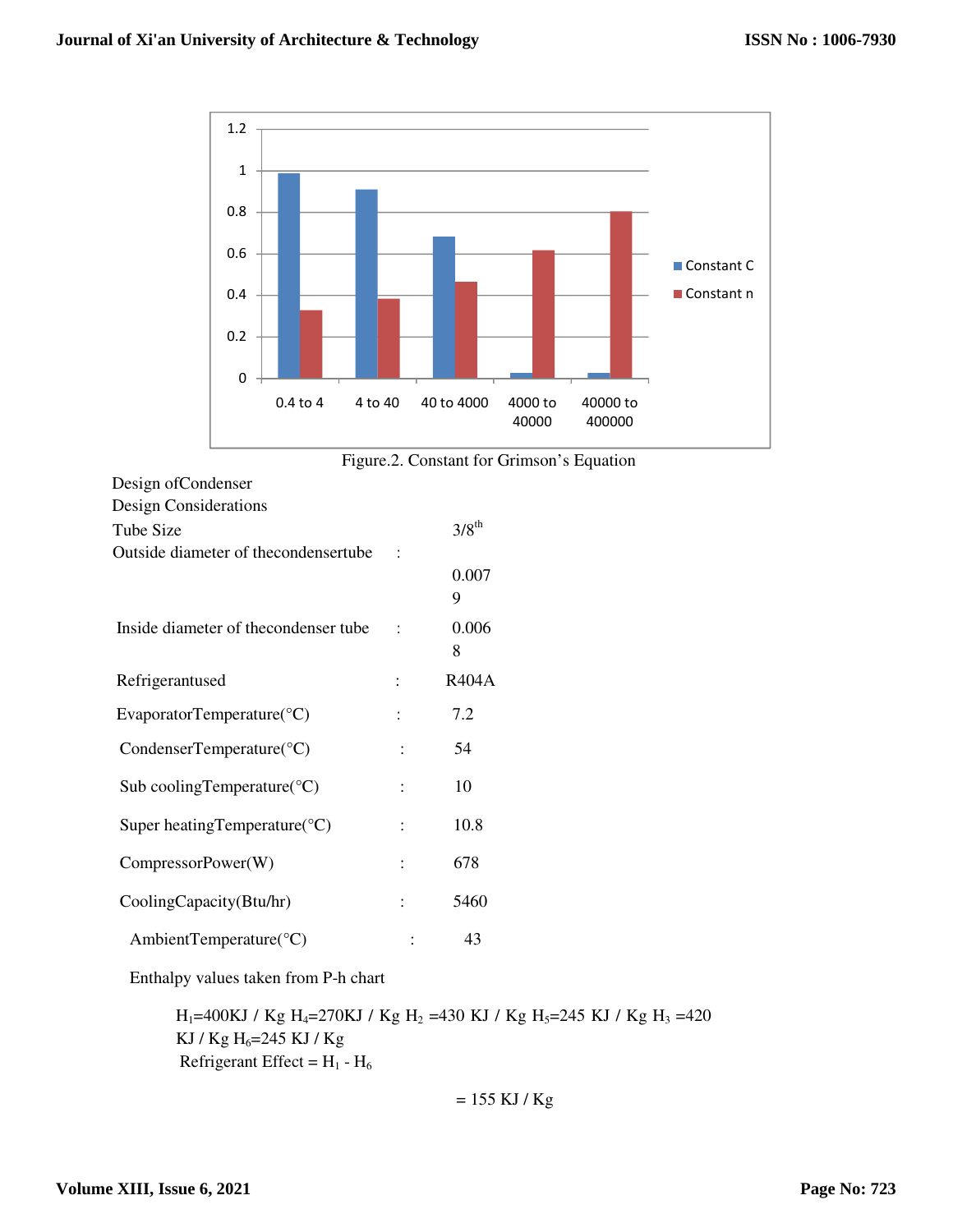

Figure.2. Constant for Grimson's Equation

| Design Considerations                     |                |                     |
|-------------------------------------------|----------------|---------------------|
| Tube Size                                 |                | $3/8$ <sup>th</sup> |
| Outside diameter of the condensertube     |                |                     |
|                                           |                | 0.007<br>9          |
| Inside diameter of the condenser tube     | $\ddot{\cdot}$ | 0.006<br>8          |
| Refrigerantused                           |                | <b>R404A</b>        |
| EvaporatorTemperature( ${}^{\circ}$ C)    |                | 7.2                 |
| CondenserTemperature( ${}^{\circ}$ C)     |                | 54                  |
| Sub cooling Temperature ( ${}^{\circ}$ C) |                | 10                  |
| Super heating Temperature $({}^{\circ}C)$ |                | 10.8                |
| CompressorPower(W)                        |                | 678                 |
| CoolingCapacity(Btu/hr)                   |                | 5460                |
| AmbientTemperature( ${}^{\circ}$ C)       |                | 43                  |

Enthalpy values taken from P-h chart

 $\rm H_{1}$  =400KJ / Kg  $\rm H_{4}$  =270KJ / Kg  $\rm H_{2}$  =430 KJ / Kg  $\rm H_{3}$  =245 KJ / Kg  $\rm H_{3}$  =420 KJ / Kg  $H_6 = 245$  KJ / Kg Refrigerant Effect =  $H_1 - H_6$ 

$$
= 155 \text{ KJ} / \text{Kg}
$$

Design ofCondenser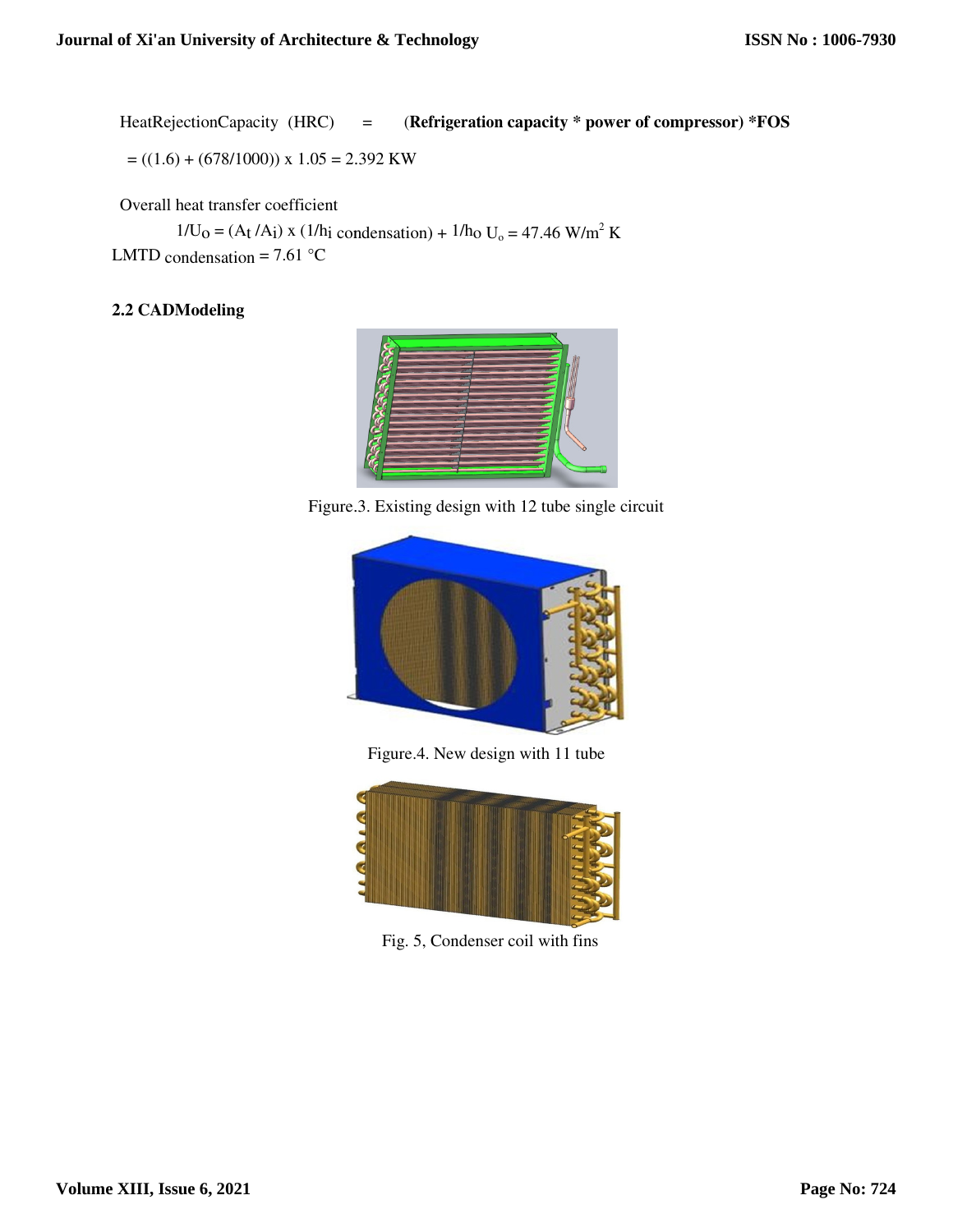HeatRejectionCapacity (HRC) = (**Refrigeration capacity \* power of compressor) \*FOS**

$$
=((1.6) + (678/1000)) \times 1.05 = 2.392
$$
 KW

Overall heat transfer coefficient

 $(678/1000)$  x 1.05 = 2.392 KW<br>heat transfer coefficient<br> $1/U_0 = (A_t / A_i)$  x (1/h<sub>i</sub> condensation) + 1/h<sub>0</sub> U<sub>0</sub> = 47.46 W/m<sup>2</sup> K LMTD condensation =  $7.61$  °C

# **2.2 CADModeling**



Figure.3 Figure.3. Existing design with 12 tube single circuit



Figure.4. New design with 11 tube



Fig. 5, Condenser coil with fins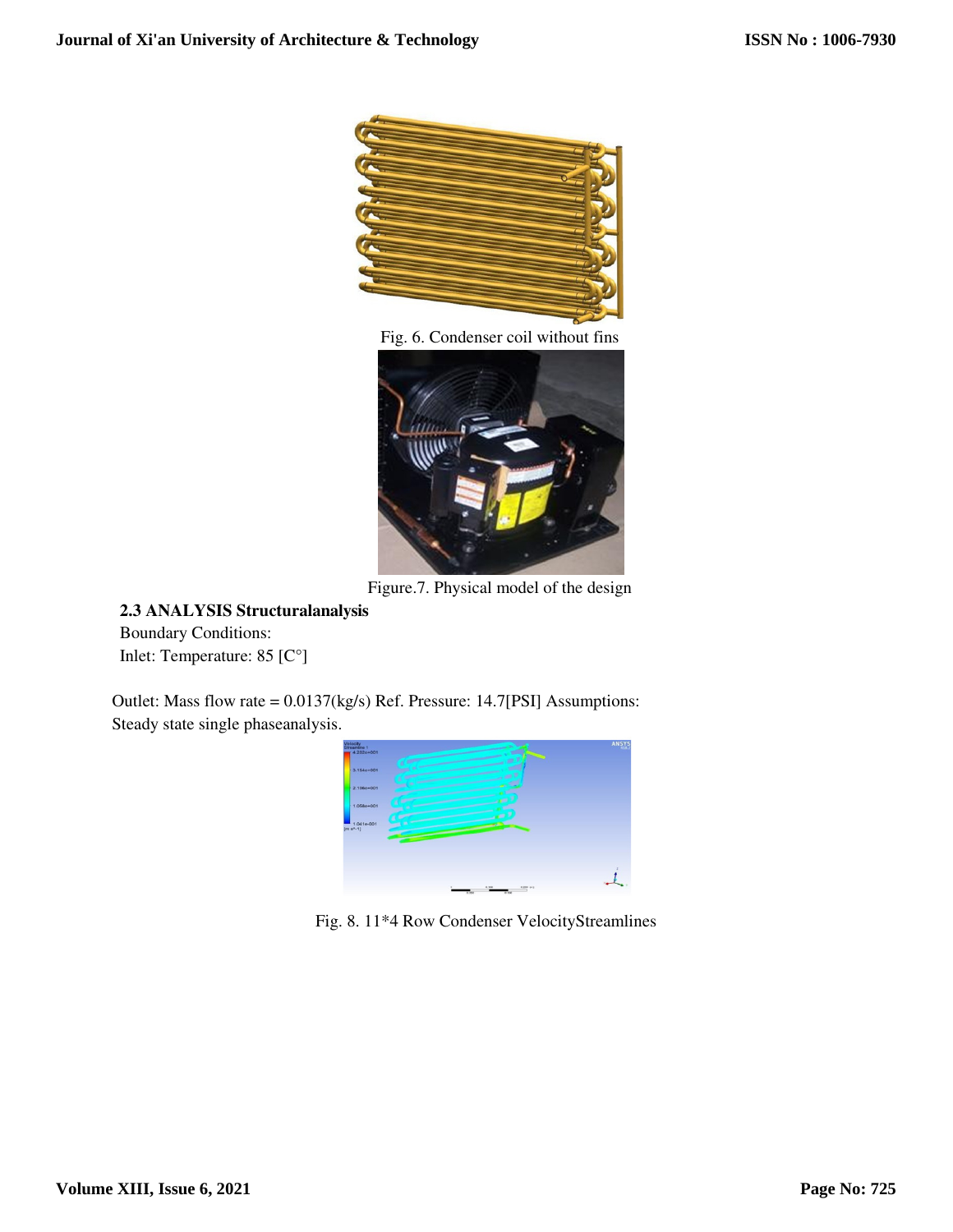

Fig. 6. Condenser coil without fins



Figure.7. Physical model of the design

# **2.3 ANALYSIS Structuralanalysis**

Boundary Conditions: Inlet: Temperature: 85 [C°]

Outlet: Mass flow rate = 0.0137(kg/s) Ref. Pressure: 14.7[PSI] Assumptions: Steady state single phaseanalysis.



Fig. 8. 11\*4 Row Condenser VelocityStreamlines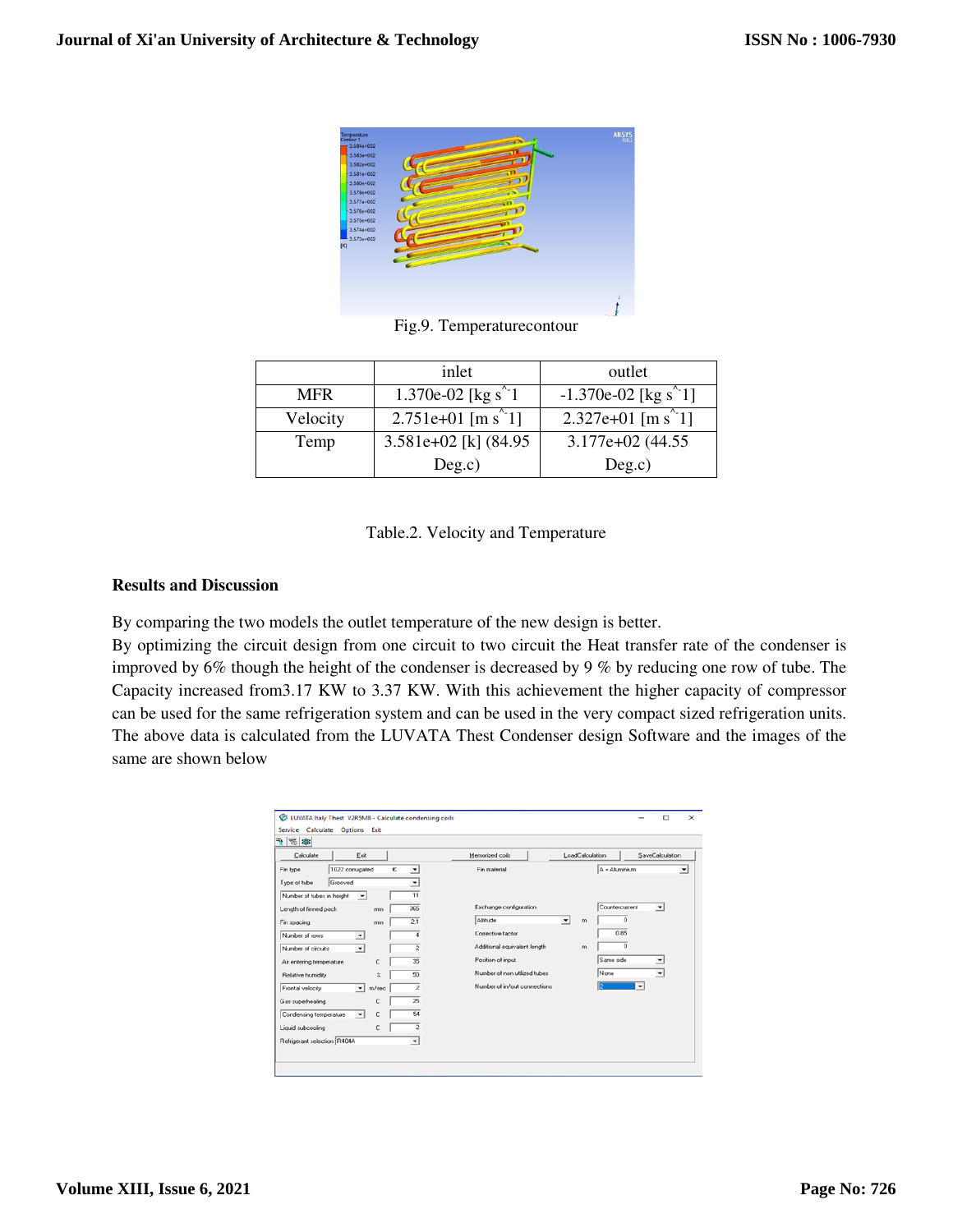

Fig.9. Temperaturecontour

|            | inlet                                               | outlet                                            |
|------------|-----------------------------------------------------|---------------------------------------------------|
| <b>MFR</b> | 1.370e-02 [kg s <sup><math>\degree</math>-1</sup> ] | $-1.370e-02$ [kg s <sup>2</sup> 1]                |
| Velocity   | 2.751e+01 [m s <sup><math>\sim</math></sup> 1]      | 2.327e+01 [m s <sup><math>\degree</math></sup> 1] |
| Temp       | 3.581e+02 [k] $(84.95$                              | $3.177e+02$ (44.55)                               |
|            | Deg.c)                                              | Deg.c)                                            |

|  | Table.2. Velocity and Temperature |  |  |
|--|-----------------------------------|--|--|
|--|-----------------------------------|--|--|

# **Results and Discussion**

By comparing the two models the outlet temperature of the new design is better.

By optimizing the circuit design from one circuit to two circuit the Heat transfer rate of the condenser is improved by 6% though the height of the condenser is decreased by 9 % by reducing one row of tube. The Capacity increased from3.17 KW to 3.37 KW. With this achievement the higher capacity of compressor can be used for the same refrigeration system and can be used in the very compact sized refrigeration units. The above data is calculated from the LUVATA Thest Condenser design Software and the images of the same are shown below

| 陽寧<br>ক।<br>Calculate       | Exit                      |                          | Memorized coils              |                      | LoadCalculation |                          | SaveCalculation          |
|-----------------------------|---------------------------|--------------------------|------------------------------|----------------------|-----------------|--------------------------|--------------------------|
|                             |                           |                          |                              |                      |                 |                          |                          |
| Fin type                    | 1022 corrugated<br>€      | $\overline{\phantom{a}}$ | Fin material                 |                      | A = Aluminium   |                          | $\blacktriangledown$     |
| Grooved<br>Type of tube     |                           | $\overline{\phantom{a}}$ |                              |                      |                 |                          |                          |
| Number of tubes in height   | $\overline{\phantom{0}}$  | 11                       |                              |                      |                 |                          |                          |
| Length of finned pack       | mm                        | 365                      | Exchange configuration       |                      | Countercurrent  |                          | $\overline{\phantom{a}}$ |
| Fin spacing                 | mm                        | 21                       | Altitude                     | $\blacktriangledown$ | m               | $\Omega$                 |                          |
| Number of rows              | $\overline{\phantom{a}}$  | A                        | Corrective factor            |                      |                 | 0.85                     |                          |
| Number of circuits          | $\overline{\phantom{a}}$  | $\overline{2}$           | Additional equivalent length |                      | m               | o                        |                          |
| Air entering temperature    | C                         | 35                       | Position of input            |                      | Same side       |                          | $\overline{ }$           |
| Relative humidity           | $\boldsymbol{\mathsf{z}}$ | 50                       | Number of non utilized tubes |                      | None            |                          | $\overline{\phantom{a}}$ |
| Frontal velocity            | m/sec<br>$\mathbf{v}$     | $\overline{c}$           | Number of in/out connections |                      |                 | $\overline{\phantom{a}}$ |                          |
| Gas superheating            | c                         | $\overline{25}$          |                              |                      |                 |                          |                          |
| Condensing temperature      | C<br>$\blacktriangledown$ | 54                       |                              |                      |                 |                          |                          |
| Liquid subcooling           | c                         | $\overline{c}$           |                              |                      |                 |                          |                          |
| Refrigerant selection R404A |                           | $\blacktriangledown$     |                              |                      |                 |                          |                          |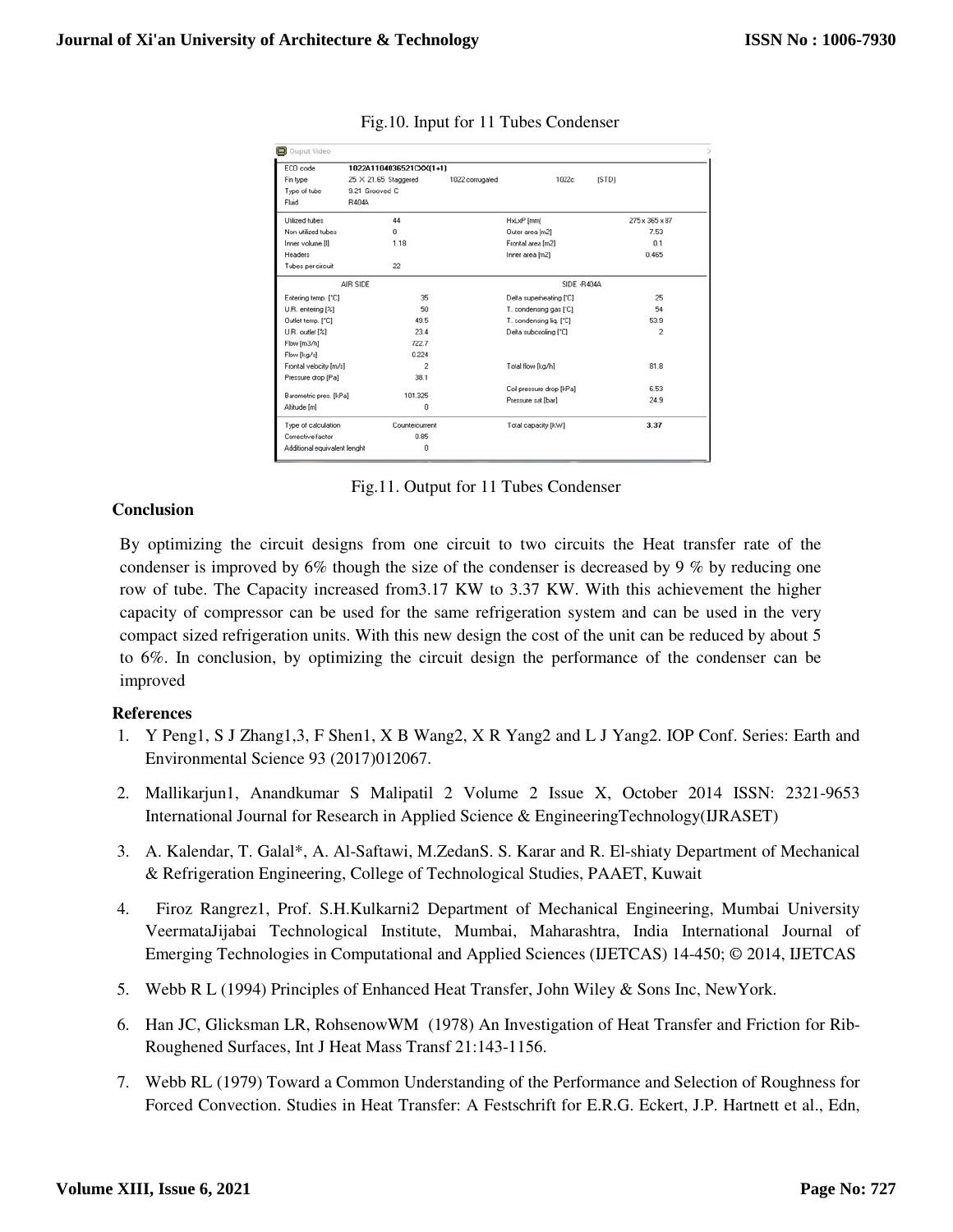| ECO code                     | 1022A1104036521CXX(1+1)     |                 |                          |                |
|------------------------------|-----------------------------|-----------------|--------------------------|----------------|
| Fin type                     | $25 \times 21.65$ Staggered | 1022 corrugated | 1022c                    | [STD]          |
| Type of tube                 | 9.21 Grooved C              |                 |                          |                |
| Fluid                        | <b>B4044</b>                |                 |                          |                |
| Utilized tubes               | 44                          |                 | HxLxP [mm]               | 275 x 365 x 87 |
| Non utilized tubes           | $\Omega$                    |                 | Outer area [m2]          | 7.53           |
| Inner volume [i]             | 1.18                        |                 | Frontal area [m2]        | 0.1            |
| Headers                      |                             |                 | Inner area [m2]          | 0.465          |
| Tubes per circuit            | 22                          |                 |                          |                |
|                              | AIR SIDE                    |                 | SIDE -R404A              |                |
| Entering temp. ["C]          | 35                          |                 | Delta superheating ["C]  | 25             |
| U.R. entering [%]            | 50                          |                 | T. condensing gas ['C]   | 54             |
| Outlet temp. ['C]            | 49.5                        |                 | T. condensing lig. ['C]  | 53.9           |
| U.R. outlet [%]              | 23.4                        |                 | Delta subcooling [°C]    | $\overline{c}$ |
| Flow [m3/h]                  | 722.7                       |                 |                          |                |
| Flow [kg/s]                  | 0.224                       |                 |                          |                |
| Frontal velocity [m/s]       | $\overline{c}$              |                 | Total flow [kg/h]        | 81.8           |
| Pressure drop [Pa]           | 38.1                        |                 |                          |                |
|                              |                             |                 | Coil pressure drop [kPa] | 6.53           |
| Barometric pres. [kPa]       | 101.325                     |                 | Pressure sat [bar]       | 24.9           |
| Altitude [m]                 | 0                           |                 |                          |                |
| Type of calculation          | Countercurrent              |                 | Total capacity [kW]      | 3.37           |
| Corrective factor            | 0.85                        |                 |                          |                |
| Additional equivalent lenght | Ō                           |                 |                          |                |

Fig.10. Input for 11 Tubes Condenser

Fig.11. Output for 11 Tubes Condenser

#### **Conclusion**

By optimizing the circuit designs from one circuit to two circuits the Heat transfer rate of the condenser is improved by 6% though the size of the condenser is decreased by 9 % by reducing one row of tube. The Capacity increased from3.17 KW to 3.37 KW. With this achievement the higher capacity of compressor can be used for the same refrigeration system and can be used in the very compact sized refrigeration units. With this new design the cost of the unit can be reduced by about 5 to 6%. In conclusion, by optimizing the circuit design the performance of the condenser can be improved

#### **References**

- 1. Y Peng1, S J Zhang1,3, F Shen1, X B Wang2, X R Yang2 and L J Yang2. IOP Conf. Series: Earth and Environmental Science 93 (2017)012067.
- 2. Mallikarjun1, Anandkumar S Malipatil 2 Volume 2 Issue X, October 2014 ISSN: 2321-9653 International Journal for Research in Applied Science & EngineeringTechnology(IJRASET)
- 3. A. Kalendar, T. Galal\*, A. Al-Saftawi, M.ZedanS. S. Karar and R. El-shiaty Department of Mechanical & Refrigeration Engineering, College of Technological Studies, PAAET, Kuwait
- 4. Firoz Rangrez1, Prof. S.H.Kulkarni2 Department of Mechanical Engineering, Mumbai University VeermataJijabai Technological Institute, Mumbai, Maharashtra, India International Journal of Emerging Technologies in Computational and Applied Sciences (IJETCAS) 14-450; © 2014, IJETCAS
- 5. Webb R L (1994) Principles of Enhanced Heat Transfer, John Wiley & Sons Inc, NewYork.
- 6. Han JC, Glicksman LR, RohsenowWM (1978) An Investigation of Heat Transfer and Friction for Rib-Roughened Surfaces, Int J Heat Mass Transf 21:143-1156.
- 7. Webb RL (1979) Toward a Common Understanding of the Performance and Selection of Roughness for Forced Convection. Studies in Heat Transfer: A Festschrift for E.R.G. Eckert, J.P. Hartnett et al., Edn,